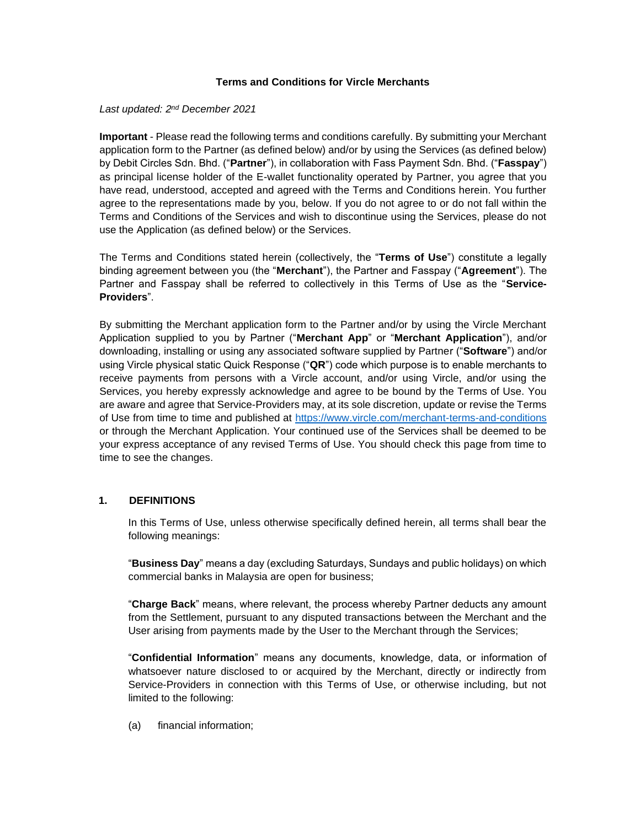### **Terms and Conditions for Vircle Merchants**

### *Last updated: 2 nd December 2021*

**Important** - Please read the following terms and conditions carefully. By submitting your Merchant application form to the Partner (as defined below) and/or by using the Services (as defined below) by Debit Circles Sdn. Bhd. ("**Partner**"), in collaboration with Fass Payment Sdn. Bhd. ("**Fasspay**") as principal license holder of the E-wallet functionality operated by Partner, you agree that you have read, understood, accepted and agreed with the Terms and Conditions herein. You further agree to the representations made by you, below. If you do not agree to or do not fall within the Terms and Conditions of the Services and wish to discontinue using the Services, please do not use the Application (as defined below) or the Services.

The Terms and Conditions stated herein (collectively, the "**Terms of Use**") constitute a legally binding agreement between you (the "**Merchant**"), the Partner and Fasspay ("**Agreement**"). The Partner and Fasspay shall be referred to collectively in this Terms of Use as the "**Service-Providers**".

By submitting the Merchant application form to the Partner and/or by using the Vircle Merchant Application supplied to you by Partner ("**Merchant App**" or "**Merchant Application**"), and/or downloading, installing or using any associated software supplied by Partner ("**Software**") and/or using Vircle physical static Quick Response ("**QR**") code which purpose is to enable merchants to receive payments from persons with a Vircle account, and/or using Vircle, and/or using the Services, you hereby expressly acknowledge and agree to be bound by the Terms of Use. You are aware and agree that Service-Providers may, at its sole discretion, update or revise the Terms of Use from time to time and published at<https://www.vircle.com/merchant-terms-and-conditions> or through the Merchant Application. Your continued use of the Services shall be deemed to be your express acceptance of any revised Terms of Use. You should check this page from time to time to see the changes.

# **1. DEFINITIONS**

In this Terms of Use, unless otherwise specifically defined herein, all terms shall bear the following meanings:

"**Business Day**" means a day (excluding Saturdays, Sundays and public holidays) on which commercial banks in Malaysia are open for business;

"**Charge Back**" means, where relevant, the process whereby Partner deducts any amount from the Settlement, pursuant to any disputed transactions between the Merchant and the User arising from payments made by the User to the Merchant through the Services;

"**Confidential Information**" means any documents, knowledge, data, or information of whatsoever nature disclosed to or acquired by the Merchant, directly or indirectly from Service-Providers in connection with this Terms of Use, or otherwise including, but not limited to the following:

(a) financial information;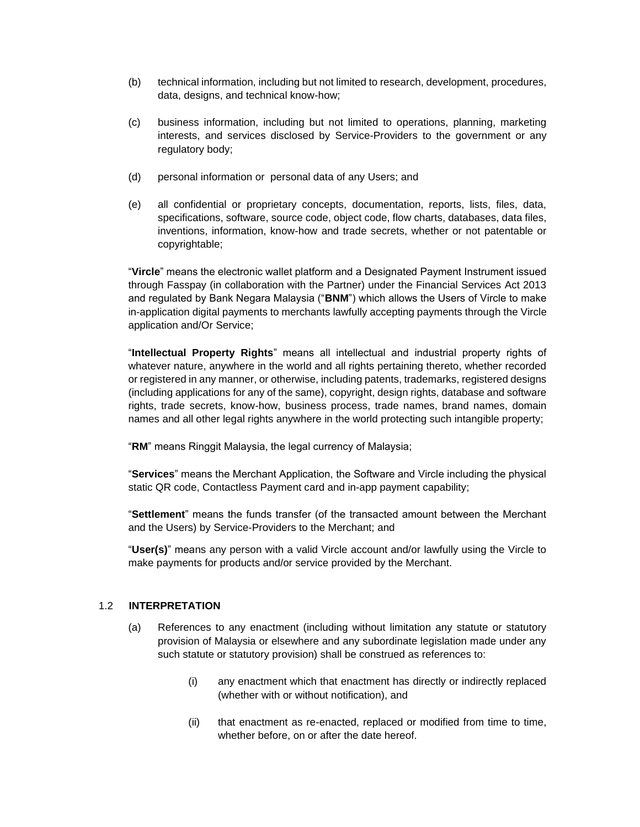- (b) technical information, including but not limited to research, development, procedures, data, designs, and technical know-how;
- (c) business information, including but not limited to operations, planning, marketing interests, and services disclosed by Service-Providers to the government or any regulatory body;
- (d) personal information or personal data of any Users; and
- (e) all confidential or proprietary concepts, documentation, reports, lists, files, data, specifications, software, source code, object code, flow charts, databases, data files, inventions, information, know-how and trade secrets, whether or not patentable or copyrightable;

"**Vircle**" means the electronic wallet platform and a Designated Payment Instrument issued through Fasspay (in collaboration with the Partner) under the Financial Services Act 2013 and regulated by Bank Negara Malaysia ("**BNM**") which allows the Users of Vircle to make in-application digital payments to merchants lawfully accepting payments through the Vircle application and/Or Service;

"**Intellectual Property Rights**" means all intellectual and industrial property rights of whatever nature, anywhere in the world and all rights pertaining thereto, whether recorded or registered in any manner, or otherwise, including patents, trademarks, registered designs (including applications for any of the same), copyright, design rights, database and software rights, trade secrets, know-how, business process, trade names, brand names, domain names and all other legal rights anywhere in the world protecting such intangible property;

"**RM**" means Ringgit Malaysia, the legal currency of Malaysia;

"**Services**" means the Merchant Application, the Software and Vircle including the physical static QR code, Contactless Payment card and in-app payment capability;

"**Settlement**" means the funds transfer (of the transacted amount between the Merchant and the Users) by Service-Providers to the Merchant; and

"**User(s)**" means any person with a valid Vircle account and/or lawfully using the Vircle to make payments for products and/or service provided by the Merchant.

#### 1.2 **INTERPRETATION**

- (a) References to any enactment (including without limitation any statute or statutory provision of Malaysia or elsewhere and any subordinate legislation made under any such statute or statutory provision) shall be construed as references to:
	- (i) any enactment which that enactment has directly or indirectly replaced (whether with or without notification), and
	- (ii) that enactment as re-enacted, replaced or modified from time to time, whether before, on or after the date hereof.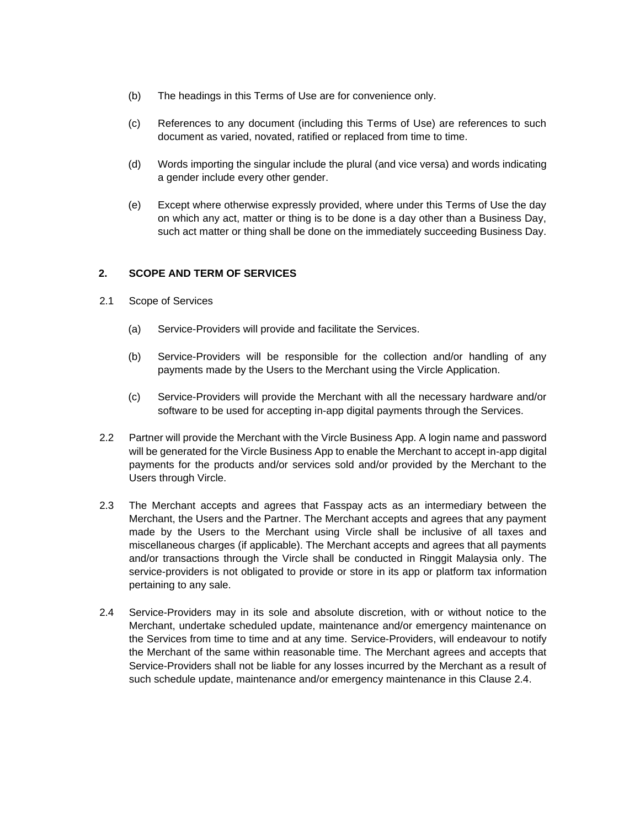- (b) The headings in this Terms of Use are for convenience only.
- (c) References to any document (including this Terms of Use) are references to such document as varied, novated, ratified or replaced from time to time.
- (d) Words importing the singular include the plural (and vice versa) and words indicating a gender include every other gender.
- (e) Except where otherwise expressly provided, where under this Terms of Use the day on which any act, matter or thing is to be done is a day other than a Business Day, such act matter or thing shall be done on the immediately succeeding Business Day.

# **2. SCOPE AND TERM OF SERVICES**

- 2.1 Scope of Services
	- (a) Service-Providers will provide and facilitate the Services.
	- (b) Service-Providers will be responsible for the collection and/or handling of any payments made by the Users to the Merchant using the Vircle Application.
	- (c) Service-Providers will provide the Merchant with all the necessary hardware and/or software to be used for accepting in-app digital payments through the Services.
- 2.2 Partner will provide the Merchant with the Vircle Business App. A login name and password will be generated for the Vircle Business App to enable the Merchant to accept in-app digital payments for the products and/or services sold and/or provided by the Merchant to the Users through Vircle.
- 2.3 The Merchant accepts and agrees that Fasspay acts as an intermediary between the Merchant, the Users and the Partner. The Merchant accepts and agrees that any payment made by the Users to the Merchant using Vircle shall be inclusive of all taxes and miscellaneous charges (if applicable). The Merchant accepts and agrees that all payments and/or transactions through the Vircle shall be conducted in Ringgit Malaysia only. The service-providers is not obligated to provide or store in its app or platform tax information pertaining to any sale.
- 2.4 Service-Providers may in its sole and absolute discretion, with or without notice to the Merchant, undertake scheduled update, maintenance and/or emergency maintenance on the Services from time to time and at any time. Service-Providers, will endeavour to notify the Merchant of the same within reasonable time. The Merchant agrees and accepts that Service-Providers shall not be liable for any losses incurred by the Merchant as a result of such schedule update, maintenance and/or emergency maintenance in this Clause 2.4.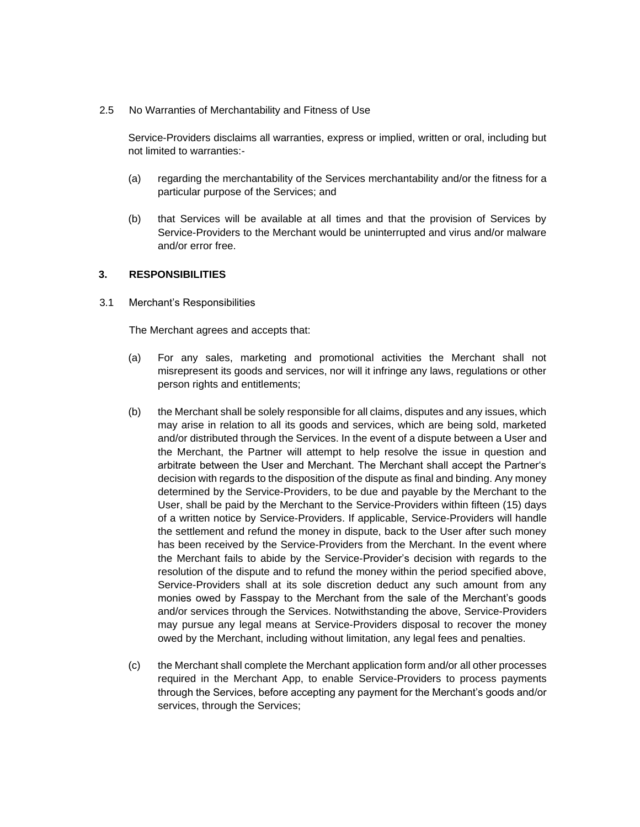2.5 No Warranties of Merchantability and Fitness of Use

Service-Providers disclaims all warranties, express or implied, written or oral, including but not limited to warranties:-

- (a) regarding the merchantability of the Services merchantability and/or the fitness for a particular purpose of the Services; and
- (b) that Services will be available at all times and that the provision of Services by Service-Providers to the Merchant would be uninterrupted and virus and/or malware and/or error free.

#### **3. RESPONSIBILITIES**

3.1 Merchant's Responsibilities

The Merchant agrees and accepts that:

- (a) For any sales, marketing and promotional activities the Merchant shall not misrepresent its goods and services, nor will it infringe any laws, regulations or other person rights and entitlements;
- (b) the Merchant shall be solely responsible for all claims, disputes and any issues, which may arise in relation to all its goods and services, which are being sold, marketed and/or distributed through the Services. In the event of a dispute between a User and the Merchant, the Partner will attempt to help resolve the issue in question and arbitrate between the User and Merchant. The Merchant shall accept the Partner's decision with regards to the disposition of the dispute as final and binding. Any money determined by the Service-Providers, to be due and payable by the Merchant to the User, shall be paid by the Merchant to the Service-Providers within fifteen (15) days of a written notice by Service-Providers. If applicable, Service-Providers will handle the settlement and refund the money in dispute, back to the User after such money has been received by the Service-Providers from the Merchant. In the event where the Merchant fails to abide by the Service-Provider's decision with regards to the resolution of the dispute and to refund the money within the period specified above, Service-Providers shall at its sole discretion deduct any such amount from any monies owed by Fasspay to the Merchant from the sale of the Merchant's goods and/or services through the Services. Notwithstanding the above, Service-Providers may pursue any legal means at Service-Providers disposal to recover the money owed by the Merchant, including without limitation, any legal fees and penalties.
- (c) the Merchant shall complete the Merchant application form and/or all other processes required in the Merchant App, to enable Service-Providers to process payments through the Services, before accepting any payment for the Merchant's goods and/or services, through the Services;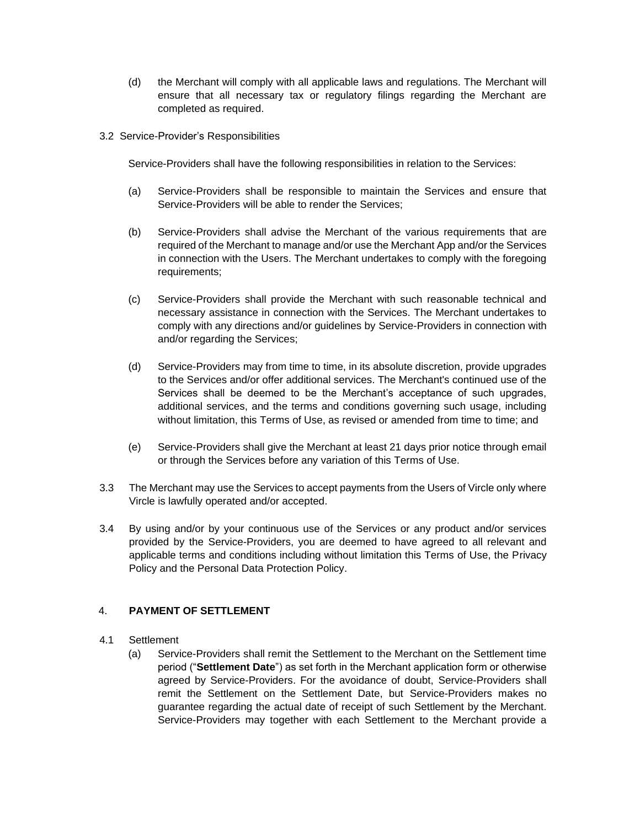- (d) the Merchant will comply with all applicable laws and regulations. The Merchant will ensure that all necessary tax or regulatory filings regarding the Merchant are completed as required.
- 3.2 Service-Provider's Responsibilities

Service-Providers shall have the following responsibilities in relation to the Services:

- (a) Service-Providers shall be responsible to maintain the Services and ensure that Service-Providers will be able to render the Services;
- (b) Service-Providers shall advise the Merchant of the various requirements that are required of the Merchant to manage and/or use the Merchant App and/or the Services in connection with the Users. The Merchant undertakes to comply with the foregoing requirements;
- (c) Service-Providers shall provide the Merchant with such reasonable technical and necessary assistance in connection with the Services. The Merchant undertakes to comply with any directions and/or guidelines by Service-Providers in connection with and/or regarding the Services;
- (d) Service-Providers may from time to time, in its absolute discretion, provide upgrades to the Services and/or offer additional services. The Merchant's continued use of the Services shall be deemed to be the Merchant's acceptance of such upgrades, additional services, and the terms and conditions governing such usage, including without limitation, this Terms of Use, as revised or amended from time to time; and
- (e) Service-Providers shall give the Merchant at least 21 days prior notice through email or through the Services before any variation of this Terms of Use.
- 3.3 The Merchant may use the Services to accept payments from the Users of Vircle only where Vircle is lawfully operated and/or accepted.
- 3.4 By using and/or by your continuous use of the Services or any product and/or services provided by the Service-Providers, you are deemed to have agreed to all relevant and applicable terms and conditions including without limitation this Terms of Use, the Privacy Policy and the Personal Data Protection Policy.

# 4. **PAYMENT OF SETTLEMENT**

- 4.1 Settlement
	- (a) Service-Providers shall remit the Settlement to the Merchant on the Settlement time period ("**Settlement Date**") as set forth in the Merchant application form or otherwise agreed by Service-Providers. For the avoidance of doubt, Service-Providers shall remit the Settlement on the Settlement Date, but Service-Providers makes no guarantee regarding the actual date of receipt of such Settlement by the Merchant. Service-Providers may together with each Settlement to the Merchant provide a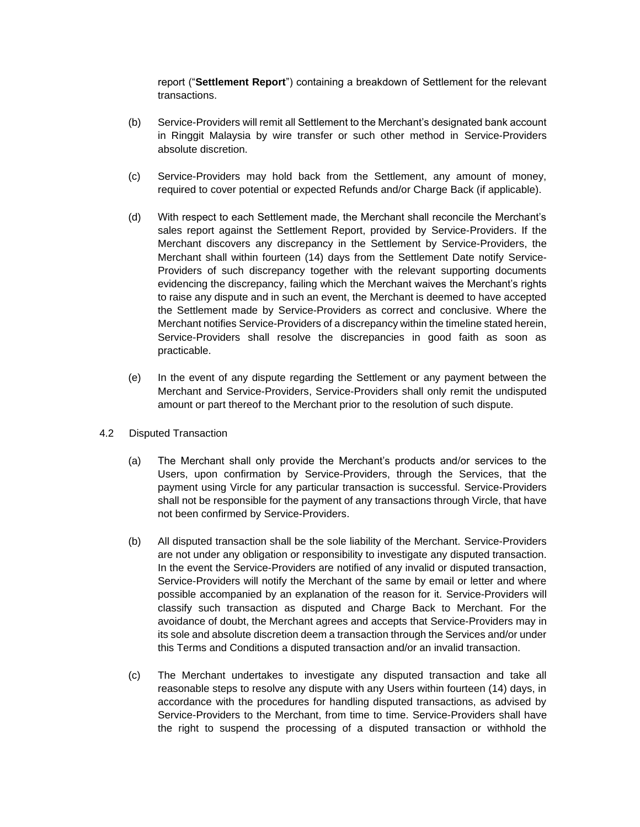report ("**Settlement Report**") containing a breakdown of Settlement for the relevant transactions.

- (b) Service-Providers will remit all Settlement to the Merchant's designated bank account in Ringgit Malaysia by wire transfer or such other method in Service-Providers absolute discretion.
- (c) Service-Providers may hold back from the Settlement, any amount of money, required to cover potential or expected Refunds and/or Charge Back (if applicable).
- (d) With respect to each Settlement made, the Merchant shall reconcile the Merchant's sales report against the Settlement Report, provided by Service-Providers. If the Merchant discovers any discrepancy in the Settlement by Service-Providers, the Merchant shall within fourteen (14) days from the Settlement Date notify Service-Providers of such discrepancy together with the relevant supporting documents evidencing the discrepancy, failing which the Merchant waives the Merchant's rights to raise any dispute and in such an event, the Merchant is deemed to have accepted the Settlement made by Service-Providers as correct and conclusive. Where the Merchant notifies Service-Providers of a discrepancy within the timeline stated herein, Service-Providers shall resolve the discrepancies in good faith as soon as practicable.
- (e) In the event of any dispute regarding the Settlement or any payment between the Merchant and Service-Providers, Service-Providers shall only remit the undisputed amount or part thereof to the Merchant prior to the resolution of such dispute.
- 4.2 Disputed Transaction
	- (a) The Merchant shall only provide the Merchant's products and/or services to the Users, upon confirmation by Service-Providers, through the Services, that the payment using Vircle for any particular transaction is successful. Service-Providers shall not be responsible for the payment of any transactions through Vircle, that have not been confirmed by Service-Providers.
	- (b) All disputed transaction shall be the sole liability of the Merchant. Service-Providers are not under any obligation or responsibility to investigate any disputed transaction. In the event the Service-Providers are notified of any invalid or disputed transaction, Service-Providers will notify the Merchant of the same by email or letter and where possible accompanied by an explanation of the reason for it. Service-Providers will classify such transaction as disputed and Charge Back to Merchant. For the avoidance of doubt, the Merchant agrees and accepts that Service-Providers may in its sole and absolute discretion deem a transaction through the Services and/or under this Terms and Conditions a disputed transaction and/or an invalid transaction.
	- (c) The Merchant undertakes to investigate any disputed transaction and take all reasonable steps to resolve any dispute with any Users within fourteen (14) days, in accordance with the procedures for handling disputed transactions, as advised by Service-Providers to the Merchant, from time to time. Service-Providers shall have the right to suspend the processing of a disputed transaction or withhold the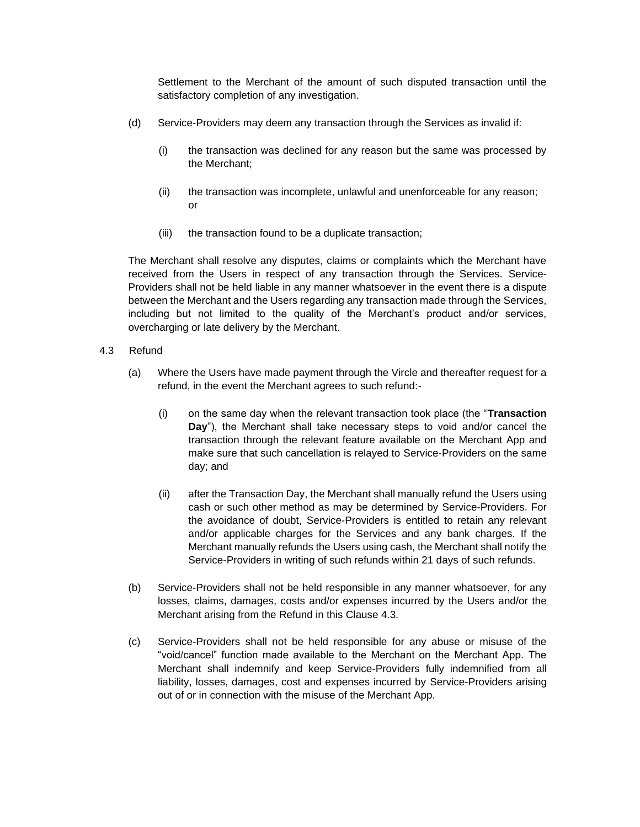Settlement to the Merchant of the amount of such disputed transaction until the satisfactory completion of any investigation.

- (d) Service-Providers may deem any transaction through the Services as invalid if:
	- (i) the transaction was declined for any reason but the same was processed by the Merchant;
	- (ii) the transaction was incomplete, unlawful and unenforceable for any reason; or
	- (iii) the transaction found to be a duplicate transaction;

The Merchant shall resolve any disputes, claims or complaints which the Merchant have received from the Users in respect of any transaction through the Services. Service-Providers shall not be held liable in any manner whatsoever in the event there is a dispute between the Merchant and the Users regarding any transaction made through the Services, including but not limited to the quality of the Merchant's product and/or services, overcharging or late delivery by the Merchant.

- 4.3 Refund
	- (a) Where the Users have made payment through the Vircle and thereafter request for a refund, in the event the Merchant agrees to such refund:-
		- (i) on the same day when the relevant transaction took place (the "**Transaction Day**"), the Merchant shall take necessary steps to void and/or cancel the transaction through the relevant feature available on the Merchant App and make sure that such cancellation is relayed to Service-Providers on the same day; and
		- (ii) after the Transaction Day, the Merchant shall manually refund the Users using cash or such other method as may be determined by Service-Providers. For the avoidance of doubt, Service-Providers is entitled to retain any relevant and/or applicable charges for the Services and any bank charges. If the Merchant manually refunds the Users using cash, the Merchant shall notify the Service-Providers in writing of such refunds within 21 days of such refunds.
	- (b) Service-Providers shall not be held responsible in any manner whatsoever, for any losses, claims, damages, costs and/or expenses incurred by the Users and/or the Merchant arising from the Refund in this Clause 4.3.
	- (c) Service-Providers shall not be held responsible for any abuse or misuse of the "void/cancel" function made available to the Merchant on the Merchant App. The Merchant shall indemnify and keep Service-Providers fully indemnified from all liability, losses, damages, cost and expenses incurred by Service-Providers arising out of or in connection with the misuse of the Merchant App.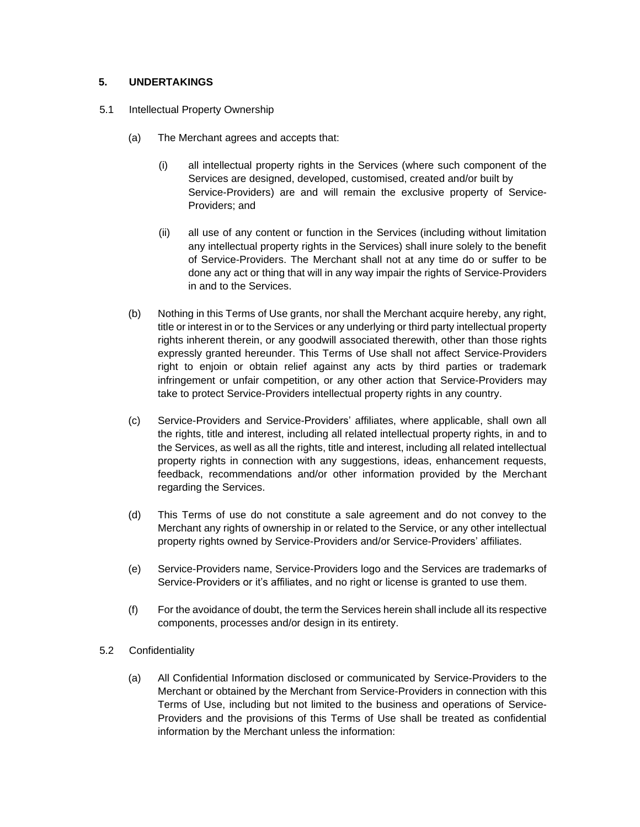# **5. UNDERTAKINGS**

- 5.1 Intellectual Property Ownership
	- (a) The Merchant agrees and accepts that:
		- (i) all intellectual property rights in the Services (where such component of the Services are designed, developed, customised, created and/or built by Service-Providers) are and will remain the exclusive property of Service-Providers; and
		- (ii) all use of any content or function in the Services (including without limitation any intellectual property rights in the Services) shall inure solely to the benefit of Service-Providers. The Merchant shall not at any time do or suffer to be done any act or thing that will in any way impair the rights of Service-Providers in and to the Services.
	- (b) Nothing in this Terms of Use grants, nor shall the Merchant acquire hereby, any right, title or interest in or to the Services or any underlying or third party intellectual property rights inherent therein, or any goodwill associated therewith, other than those rights expressly granted hereunder. This Terms of Use shall not affect Service-Providers right to enjoin or obtain relief against any acts by third parties or trademark infringement or unfair competition, or any other action that Service-Providers may take to protect Service-Providers intellectual property rights in any country.
	- (c) Service-Providers and Service-Providers' affiliates, where applicable, shall own all the rights, title and interest, including all related intellectual property rights, in and to the Services, as well as all the rights, title and interest, including all related intellectual property rights in connection with any suggestions, ideas, enhancement requests, feedback, recommendations and/or other information provided by the Merchant regarding the Services.
	- (d) This Terms of use do not constitute a sale agreement and do not convey to the Merchant any rights of ownership in or related to the Service, or any other intellectual property rights owned by Service-Providers and/or Service-Providers' affiliates.
	- (e) Service-Providers name, Service-Providers logo and the Services are trademarks of Service-Providers or it's affiliates, and no right or license is granted to use them.
	- (f) For the avoidance of doubt, the term the Services herein shall include all its respective components, processes and/or design in its entirety.
- 5.2 Confidentiality
	- (a) All Confidential Information disclosed or communicated by Service-Providers to the Merchant or obtained by the Merchant from Service-Providers in connection with this Terms of Use, including but not limited to the business and operations of Service-Providers and the provisions of this Terms of Use shall be treated as confidential information by the Merchant unless the information: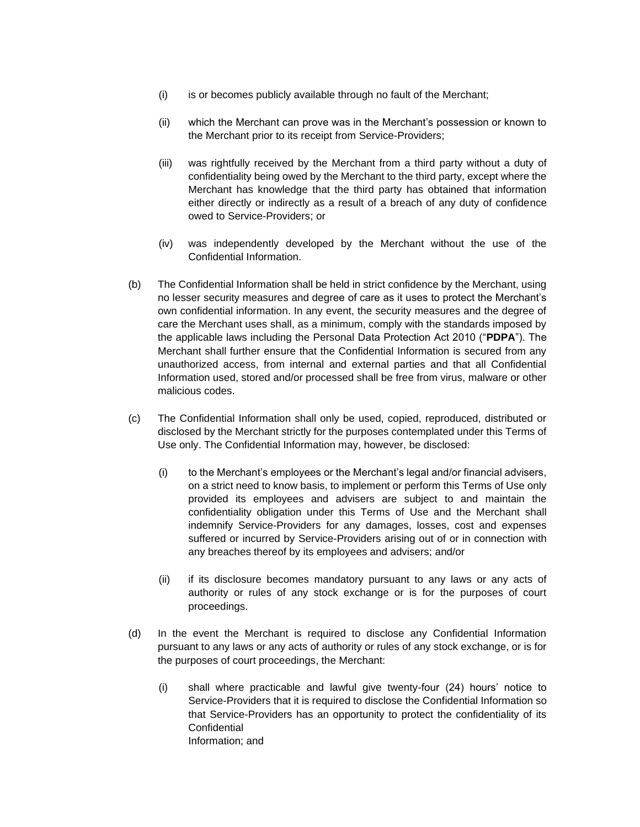- (i) is or becomes publicly available through no fault of the Merchant;
- (ii) which the Merchant can prove was in the Merchant's possession or known to the Merchant prior to its receipt from Service-Providers;
- (iii) was rightfully received by the Merchant from a third party without a duty of confidentiality being owed by the Merchant to the third party, except where the Merchant has knowledge that the third party has obtained that information either directly or indirectly as a result of a breach of any duty of confidence owed to Service-Providers; or
- (iv) was independently developed by the Merchant without the use of the Confidential Information.
- (b) The Confidential Information shall be held in strict confidence by the Merchant, using no lesser security measures and degree of care as it uses to protect the Merchant's own confidential information. In any event, the security measures and the degree of care the Merchant uses shall, as a minimum, comply with the standards imposed by the applicable laws including the Personal Data Protection Act 2010 ("**PDPA**"). The Merchant shall further ensure that the Confidential Information is secured from any unauthorized access, from internal and external parties and that all Confidential Information used, stored and/or processed shall be free from virus, malware or other malicious codes.
- (c) The Confidential Information shall only be used, copied, reproduced, distributed or disclosed by the Merchant strictly for the purposes contemplated under this Terms of Use only. The Confidential Information may, however, be disclosed:
	- (i) to the Merchant's employees or the Merchant's legal and/or financial advisers, on a strict need to know basis, to implement or perform this Terms of Use only provided its employees and advisers are subject to and maintain the confidentiality obligation under this Terms of Use and the Merchant shall indemnify Service-Providers for any damages, losses, cost and expenses suffered or incurred by Service-Providers arising out of or in connection with any breaches thereof by its employees and advisers; and/or
	- (ii) if its disclosure becomes mandatory pursuant to any laws or any acts of authority or rules of any stock exchange or is for the purposes of court proceedings.
- (d) In the event the Merchant is required to disclose any Confidential Information pursuant to any laws or any acts of authority or rules of any stock exchange, or is for the purposes of court proceedings, the Merchant:
	- (i) shall where practicable and lawful give twenty-four (24) hours' notice to Service-Providers that it is required to disclose the Confidential Information so that Service-Providers has an opportunity to protect the confidentiality of its **Confidential** Information; and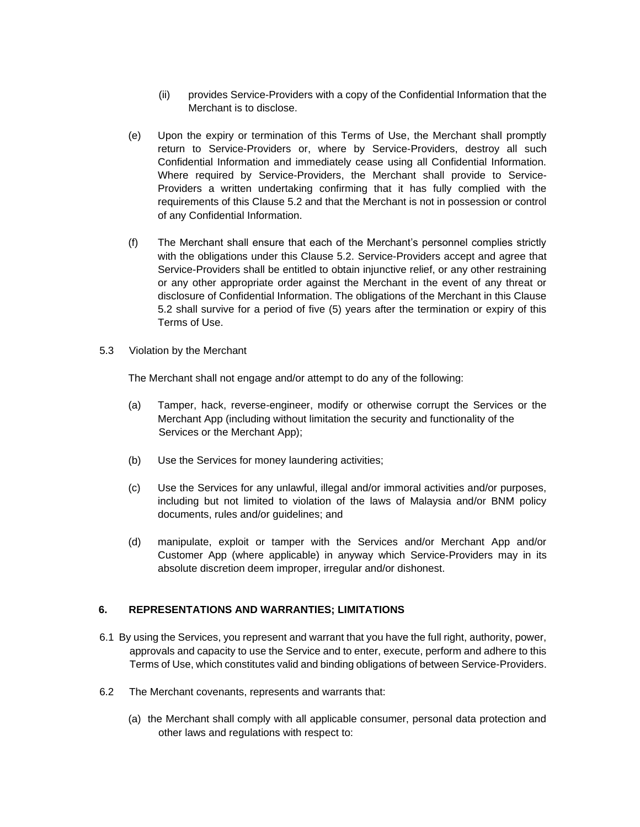- (ii) provides Service-Providers with a copy of the Confidential Information that the Merchant is to disclose.
- (e) Upon the expiry or termination of this Terms of Use, the Merchant shall promptly return to Service-Providers or, where by Service-Providers, destroy all such Confidential Information and immediately cease using all Confidential Information. Where required by Service-Providers, the Merchant shall provide to Service-Providers a written undertaking confirming that it has fully complied with the requirements of this Clause 5.2 and that the Merchant is not in possession or control of any Confidential Information.
- (f) The Merchant shall ensure that each of the Merchant's personnel complies strictly with the obligations under this Clause 5.2. Service-Providers accept and agree that Service-Providers shall be entitled to obtain injunctive relief, or any other restraining or any other appropriate order against the Merchant in the event of any threat or disclosure of Confidential Information. The obligations of the Merchant in this Clause 5.2 shall survive for a period of five (5) years after the termination or expiry of this Terms of Use.
- 5.3 Violation by the Merchant

The Merchant shall not engage and/or attempt to do any of the following:

- (a) Tamper, hack, reverse-engineer, modify or otherwise corrupt the Services or the Merchant App (including without limitation the security and functionality of the Services or the Merchant App);
- (b) Use the Services for money laundering activities;
- (c) Use the Services for any unlawful, illegal and/or immoral activities and/or purposes, including but not limited to violation of the laws of Malaysia and/or BNM policy documents, rules and/or guidelines; and
- (d) manipulate, exploit or tamper with the Services and/or Merchant App and/or Customer App (where applicable) in anyway which Service-Providers may in its absolute discretion deem improper, irregular and/or dishonest.

# **6. REPRESENTATIONS AND WARRANTIES; LIMITATIONS**

- 6.1 By using the Services, you represent and warrant that you have the full right, authority, power, approvals and capacity to use the Service and to enter, execute, perform and adhere to this Terms of Use, which constitutes valid and binding obligations of between Service-Providers.
- 6.2 The Merchant covenants, represents and warrants that:
	- (a) the Merchant shall comply with all applicable consumer, personal data protection and other laws and regulations with respect to: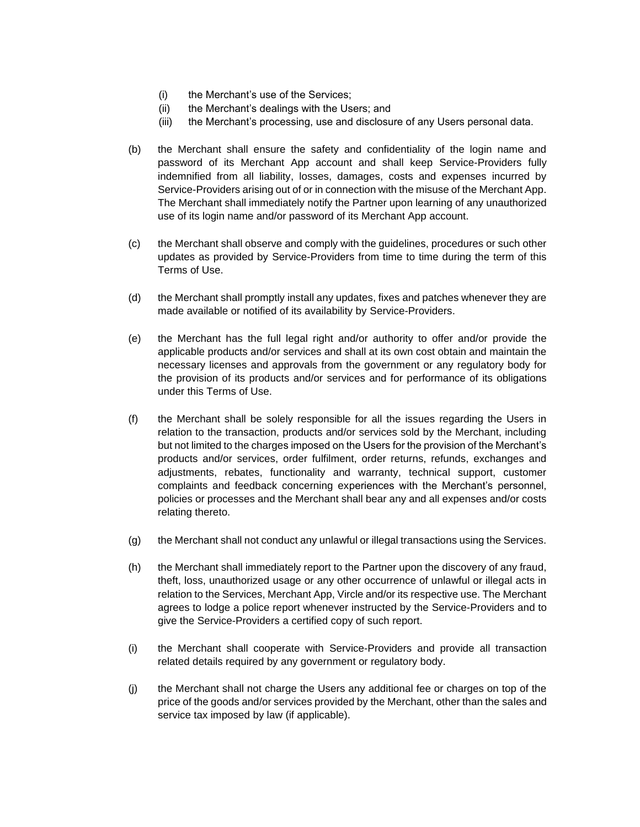- (i) the Merchant's use of the Services;
- (ii) the Merchant's dealings with the Users; and
- (iii) the Merchant's processing, use and disclosure of any Users personal data.
- (b) the Merchant shall ensure the safety and confidentiality of the login name and password of its Merchant App account and shall keep Service-Providers fully indemnified from all liability, losses, damages, costs and expenses incurred by Service-Providers arising out of or in connection with the misuse of the Merchant App. The Merchant shall immediately notify the Partner upon learning of any unauthorized use of its login name and/or password of its Merchant App account.
- (c) the Merchant shall observe and comply with the guidelines, procedures or such other updates as provided by Service-Providers from time to time during the term of this Terms of Use.
- (d) the Merchant shall promptly install any updates, fixes and patches whenever they are made available or notified of its availability by Service-Providers.
- (e) the Merchant has the full legal right and/or authority to offer and/or provide the applicable products and/or services and shall at its own cost obtain and maintain the necessary licenses and approvals from the government or any regulatory body for the provision of its products and/or services and for performance of its obligations under this Terms of Use.
- (f) the Merchant shall be solely responsible for all the issues regarding the Users in relation to the transaction, products and/or services sold by the Merchant, including but not limited to the charges imposed on the Users for the provision of the Merchant's products and/or services, order fulfilment, order returns, refunds, exchanges and adjustments, rebates, functionality and warranty, technical support, customer complaints and feedback concerning experiences with the Merchant's personnel, policies or processes and the Merchant shall bear any and all expenses and/or costs relating thereto.
- (g) the Merchant shall not conduct any unlawful or illegal transactions using the Services.
- (h) the Merchant shall immediately report to the Partner upon the discovery of any fraud, theft, loss, unauthorized usage or any other occurrence of unlawful or illegal acts in relation to the Services, Merchant App, Vircle and/or its respective use. The Merchant agrees to lodge a police report whenever instructed by the Service-Providers and to give the Service-Providers a certified copy of such report.
- (i) the Merchant shall cooperate with Service-Providers and provide all transaction related details required by any government or regulatory body.
- (j) the Merchant shall not charge the Users any additional fee or charges on top of the price of the goods and/or services provided by the Merchant, other than the sales and service tax imposed by law (if applicable).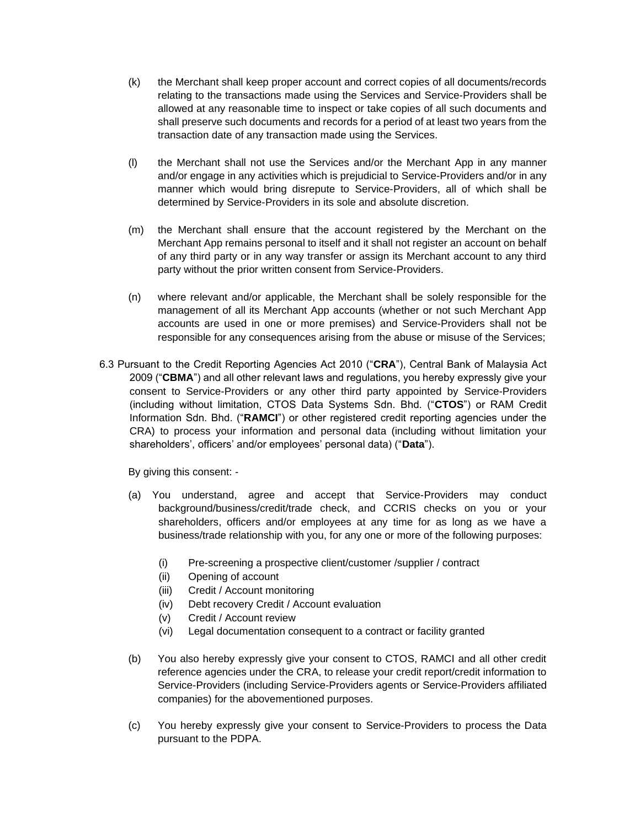- (k) the Merchant shall keep proper account and correct copies of all documents/records relating to the transactions made using the Services and Service-Providers shall be allowed at any reasonable time to inspect or take copies of all such documents and shall preserve such documents and records for a period of at least two years from the transaction date of any transaction made using the Services.
- (l) the Merchant shall not use the Services and/or the Merchant App in any manner and/or engage in any activities which is prejudicial to Service-Providers and/or in any manner which would bring disrepute to Service-Providers, all of which shall be determined by Service-Providers in its sole and absolute discretion.
- (m) the Merchant shall ensure that the account registered by the Merchant on the Merchant App remains personal to itself and it shall not register an account on behalf of any third party or in any way transfer or assign its Merchant account to any third party without the prior written consent from Service-Providers.
- (n) where relevant and/or applicable, the Merchant shall be solely responsible for the management of all its Merchant App accounts (whether or not such Merchant App accounts are used in one or more premises) and Service-Providers shall not be responsible for any consequences arising from the abuse or misuse of the Services;
- 6.3 Pursuant to the Credit Reporting Agencies Act 2010 ("**CRA**"), Central Bank of Malaysia Act 2009 ("**CBMA**") and all other relevant laws and regulations, you hereby expressly give your consent to Service-Providers or any other third party appointed by Service-Providers (including without limitation, CTOS Data Systems Sdn. Bhd. ("**CTOS**") or RAM Credit Information Sdn. Bhd. ("**RAMCI**") or other registered credit reporting agencies under the CRA) to process your information and personal data (including without limitation your shareholders', officers' and/or employees' personal data) ("**Data**").

By giving this consent: -

- (a) You understand, agree and accept that Service-Providers may conduct background/business/credit/trade check, and CCRIS checks on you or your shareholders, officers and/or employees at any time for as long as we have a business/trade relationship with you, for any one or more of the following purposes:
	- (i) Pre-screening a prospective client/customer /supplier / contract
	- (ii) Opening of account
	- (iii) Credit / Account monitoring
	- (iv) Debt recovery Credit / Account evaluation
	- (v) Credit / Account review
	- (vi) Legal documentation consequent to a contract or facility granted
- (b) You also hereby expressly give your consent to CTOS, RAMCI and all other credit reference agencies under the CRA, to release your credit report/credit information to Service-Providers (including Service-Providers agents or Service-Providers affiliated companies) for the abovementioned purposes.
- (c) You hereby expressly give your consent to Service-Providers to process the Data pursuant to the PDPA.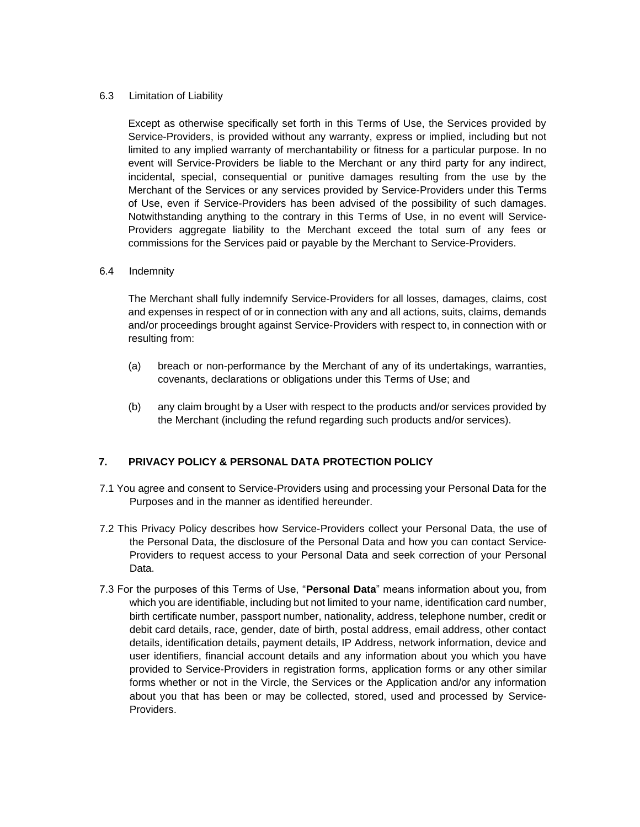### 6.3 Limitation of Liability

Except as otherwise specifically set forth in this Terms of Use, the Services provided by Service-Providers, is provided without any warranty, express or implied, including but not limited to any implied warranty of merchantability or fitness for a particular purpose. In no event will Service-Providers be liable to the Merchant or any third party for any indirect, incidental, special, consequential or punitive damages resulting from the use by the Merchant of the Services or any services provided by Service-Providers under this Terms of Use, even if Service-Providers has been advised of the possibility of such damages. Notwithstanding anything to the contrary in this Terms of Use, in no event will Service-Providers aggregate liability to the Merchant exceed the total sum of any fees or commissions for the Services paid or payable by the Merchant to Service-Providers.

### 6.4 Indemnity

The Merchant shall fully indemnify Service-Providers for all losses, damages, claims, cost and expenses in respect of or in connection with any and all actions, suits, claims, demands and/or proceedings brought against Service-Providers with respect to, in connection with or resulting from:

- (a) breach or non-performance by the Merchant of any of its undertakings, warranties, covenants, declarations or obligations under this Terms of Use; and
- (b) any claim brought by a User with respect to the products and/or services provided by the Merchant (including the refund regarding such products and/or services).

# **7. PRIVACY POLICY & PERSONAL DATA PROTECTION POLICY**

- 7.1 You agree and consent to Service-Providers using and processing your Personal Data for the Purposes and in the manner as identified hereunder.
- 7.2 This Privacy Policy describes how Service-Providers collect your Personal Data, the use of the Personal Data, the disclosure of the Personal Data and how you can contact Service-Providers to request access to your Personal Data and seek correction of your Personal Data.
- 7.3 For the purposes of this Terms of Use, "**Personal Data**" means information about you, from which you are identifiable, including but not limited to your name, identification card number, birth certificate number, passport number, nationality, address, telephone number, credit or debit card details, race, gender, date of birth, postal address, email address, other contact details, identification details, payment details, IP Address, network information, device and user identifiers, financial account details and any information about you which you have provided to Service-Providers in registration forms, application forms or any other similar forms whether or not in the Vircle, the Services or the Application and/or any information about you that has been or may be collected, stored, used and processed by Service-Providers.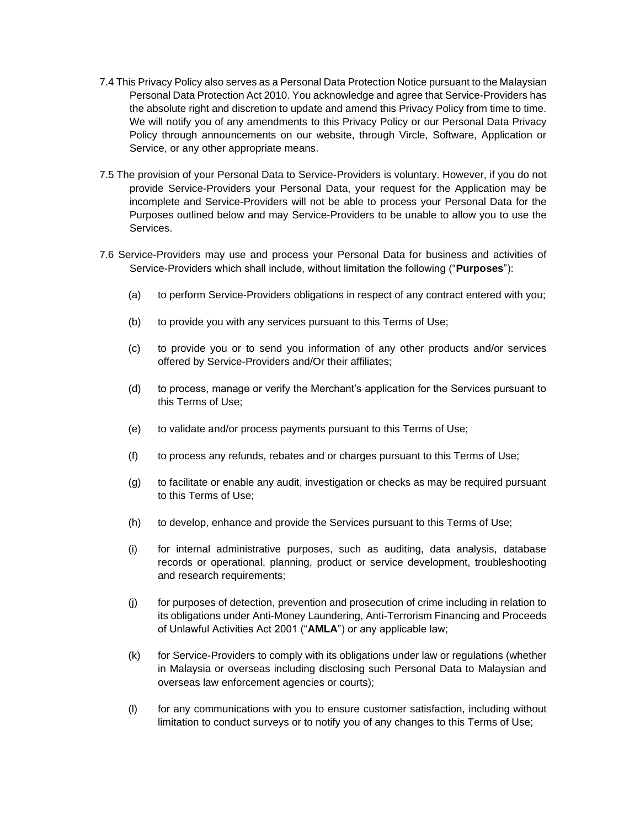- 7.4 This Privacy Policy also serves as a Personal Data Protection Notice pursuant to the Malaysian Personal Data Protection Act 2010. You acknowledge and agree that Service-Providers has the absolute right and discretion to update and amend this Privacy Policy from time to time. We will notify you of any amendments to this Privacy Policy or our Personal Data Privacy Policy through announcements on our website, through Vircle, Software, Application or Service, or any other appropriate means.
- 7.5 The provision of your Personal Data to Service-Providers is voluntary. However, if you do not provide Service-Providers your Personal Data, your request for the Application may be incomplete and Service-Providers will not be able to process your Personal Data for the Purposes outlined below and may Service-Providers to be unable to allow you to use the Services.
- 7.6 Service-Providers may use and process your Personal Data for business and activities of Service-Providers which shall include, without limitation the following ("**Purposes**"):
	- (a) to perform Service-Providers obligations in respect of any contract entered with you;
	- (b) to provide you with any services pursuant to this Terms of Use;
	- (c) to provide you or to send you information of any other products and/or services offered by Service-Providers and/Or their affiliates;
	- (d) to process, manage or verify the Merchant's application for the Services pursuant to this Terms of Use;
	- (e) to validate and/or process payments pursuant to this Terms of Use;
	- (f) to process any refunds, rebates and or charges pursuant to this Terms of Use;
	- (g) to facilitate or enable any audit, investigation or checks as may be required pursuant to this Terms of Use;
	- (h) to develop, enhance and provide the Services pursuant to this Terms of Use;
	- (i) for internal administrative purposes, such as auditing, data analysis, database records or operational, planning, product or service development, troubleshooting and research requirements;
	- (j) for purposes of detection, prevention and prosecution of crime including in relation to its obligations under Anti-Money Laundering, Anti-Terrorism Financing and Proceeds of Unlawful Activities Act 2001 ("**AMLA**") or any applicable law;
	- (k) for Service-Providers to comply with its obligations under law or regulations (whether in Malaysia or overseas including disclosing such Personal Data to Malaysian and overseas law enforcement agencies or courts);
	- (l) for any communications with you to ensure customer satisfaction, including without limitation to conduct surveys or to notify you of any changes to this Terms of Use;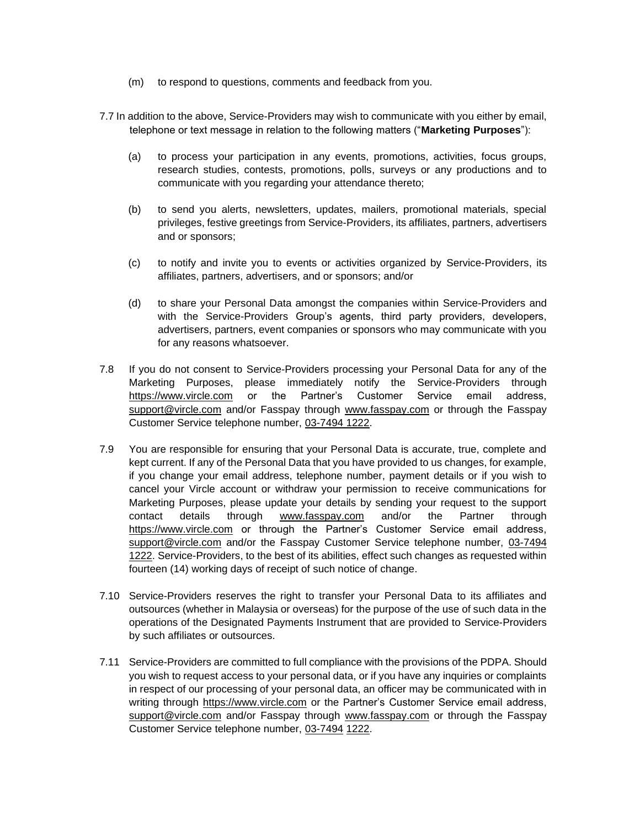- (m) to respond to questions, comments and feedback from you.
- 7.7 In addition to the above, Service-Providers may wish to communicate with you either by email, telephone or text message in relation to the following matters ("**Marketing Purposes**"):
	- (a) to process your participation in any events, promotions, activities, focus groups, research studies, contests, promotions, polls, surveys or any productions and to communicate with you regarding your attendance thereto;
	- (b) to send you alerts, newsletters, updates, mailers, promotional materials, special privileges, festive greetings from Service-Providers, its affiliates, partners, advertisers and or sponsors;
	- (c) to notify and invite you to events or activities organized by Service-Providers, its affiliates, partners, advertisers, and or sponsors; and/or
	- (d) to share your Personal Data amongst the companies within Service-Providers and with the Service-Providers Group's agents, third party providers, developers, advertisers, partners, event companies or sponsors who may communicate with you for any reasons whatsoever.
- 7.8 If you do not consent to Service-Providers processing your Personal Data for any of the Marketing Purposes, please immediately notify the Service-Providers through https://www.vircle.com or the Partner's Customer Service email address, support@vircle.com and/or Fasspay through www.fasspay.com or through the Fasspay Customer Service telephone number, 03-7494 1222.
- 7.9 You are responsible for ensuring that your Personal Data is accurate, true, complete and kept current. If any of the Personal Data that you have provided to us changes, for example, if you change your email address, telephone number, payment details or if you wish to cancel your Vircle account or withdraw your permission to receive communications for Marketing Purposes, please update your details by sending your request to the support contact details through www.fasspay.com and/or the Partner through https://www.vircle.com or through the Partner's Customer Service email address, support@vircle.com and/or the Fasspay Customer Service telephone number, 03-7494 1222. Service-Providers, to the best of its abilities, effect such changes as requested within fourteen (14) working days of receipt of such notice of change.
- 7.10 Service-Providers reserves the right to transfer your Personal Data to its affiliates and outsources (whether in Malaysia or overseas) for the purpose of the use of such data in the operations of the Designated Payments Instrument that are provided to Service-Providers by such affiliates or outsources.
- 7.11 Service-Providers are committed to full compliance with the provisions of the PDPA. Should you wish to request access to your personal data, or if you have any inquiries or complaints in respect of our processing of your personal data, an officer may be communicated with in writing through https://www.vircle.com or the Partner's Customer Service email address, support@vircle.com and/or Fasspay through www.fasspay.com or through the Fasspay Customer Service telephone number, 03-7494 1222.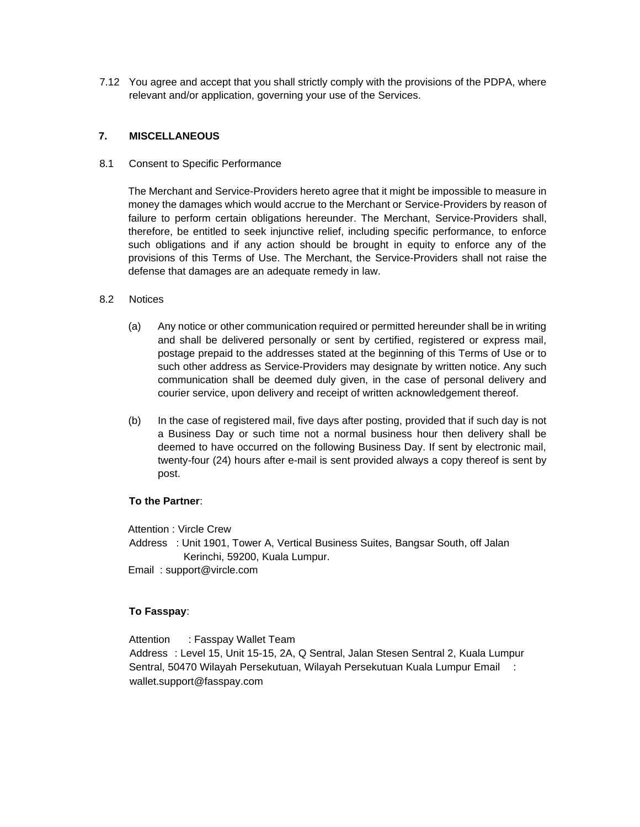7.12 You agree and accept that you shall strictly comply with the provisions of the PDPA, where relevant and/or application, governing your use of the Services.

### **7. MISCELLANEOUS**

### 8.1 Consent to Specific Performance

The Merchant and Service-Providers hereto agree that it might be impossible to measure in money the damages which would accrue to the Merchant or Service-Providers by reason of failure to perform certain obligations hereunder. The Merchant, Service-Providers shall, therefore, be entitled to seek injunctive relief, including specific performance, to enforce such obligations and if any action should be brought in equity to enforce any of the provisions of this Terms of Use. The Merchant, the Service-Providers shall not raise the defense that damages are an adequate remedy in law.

### 8.2 Notices

- (a) Any notice or other communication required or permitted hereunder shall be in writing and shall be delivered personally or sent by certified, registered or express mail, postage prepaid to the addresses stated at the beginning of this Terms of Use or to such other address as Service-Providers may designate by written notice. Any such communication shall be deemed duly given, in the case of personal delivery and courier service, upon delivery and receipt of written acknowledgement thereof.
- (b) In the case of registered mail, five days after posting, provided that if such day is not a Business Day or such time not a normal business hour then delivery shall be deemed to have occurred on the following Business Day. If sent by electronic mail, twenty-four (24) hours after e-mail is sent provided always a copy thereof is sent by post.

#### **To the Partner**:

Attention : Vircle Crew

Address : Unit 1901, Tower A, Vertical Business Suites, Bangsar South, off Jalan Kerinchi, 59200, Kuala Lumpur.

Email : support@vircle.com

# **To Fasspay**:

Attention : Fasspay Wallet Team Address : Level 15, Unit 15-15, 2A, Q Sentral, Jalan Stesen Sentral 2, Kuala Lumpur Sentral, 50470 Wilayah Persekutuan, Wilayah Persekutuan Kuala Lumpur Email : wallet.support@fasspay.com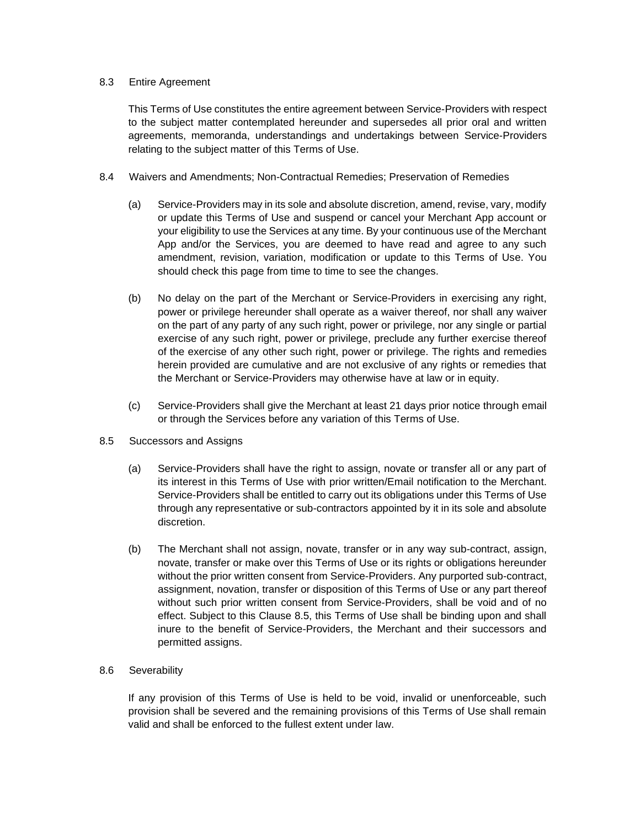#### 8.3 Entire Agreement

This Terms of Use constitutes the entire agreement between Service-Providers with respect to the subject matter contemplated hereunder and supersedes all prior oral and written agreements, memoranda, understandings and undertakings between Service-Providers relating to the subject matter of this Terms of Use.

- 8.4 Waivers and Amendments; Non-Contractual Remedies; Preservation of Remedies
	- (a) Service-Providers may in its sole and absolute discretion, amend, revise, vary, modify or update this Terms of Use and suspend or cancel your Merchant App account or your eligibility to use the Services at any time. By your continuous use of the Merchant App and/or the Services, you are deemed to have read and agree to any such amendment, revision, variation, modification or update to this Terms of Use. You should check this page from time to time to see the changes.
	- (b) No delay on the part of the Merchant or Service-Providers in exercising any right, power or privilege hereunder shall operate as a waiver thereof, nor shall any waiver on the part of any party of any such right, power or privilege, nor any single or partial exercise of any such right, power or privilege, preclude any further exercise thereof of the exercise of any other such right, power or privilege. The rights and remedies herein provided are cumulative and are not exclusive of any rights or remedies that the Merchant or Service-Providers may otherwise have at law or in equity.
	- (c) Service-Providers shall give the Merchant at least 21 days prior notice through email or through the Services before any variation of this Terms of Use.
- 8.5 Successors and Assigns
	- (a) Service-Providers shall have the right to assign, novate or transfer all or any part of its interest in this Terms of Use with prior written/Email notification to the Merchant. Service-Providers shall be entitled to carry out its obligations under this Terms of Use through any representative or sub-contractors appointed by it in its sole and absolute discretion.
	- (b) The Merchant shall not assign, novate, transfer or in any way sub-contract, assign, novate, transfer or make over this Terms of Use or its rights or obligations hereunder without the prior written consent from Service-Providers. Any purported sub-contract, assignment, novation, transfer or disposition of this Terms of Use or any part thereof without such prior written consent from Service-Providers, shall be void and of no effect. Subject to this Clause 8.5, this Terms of Use shall be binding upon and shall inure to the benefit of Service-Providers, the Merchant and their successors and permitted assigns.

#### 8.6 Severability

If any provision of this Terms of Use is held to be void, invalid or unenforceable, such provision shall be severed and the remaining provisions of this Terms of Use shall remain valid and shall be enforced to the fullest extent under law.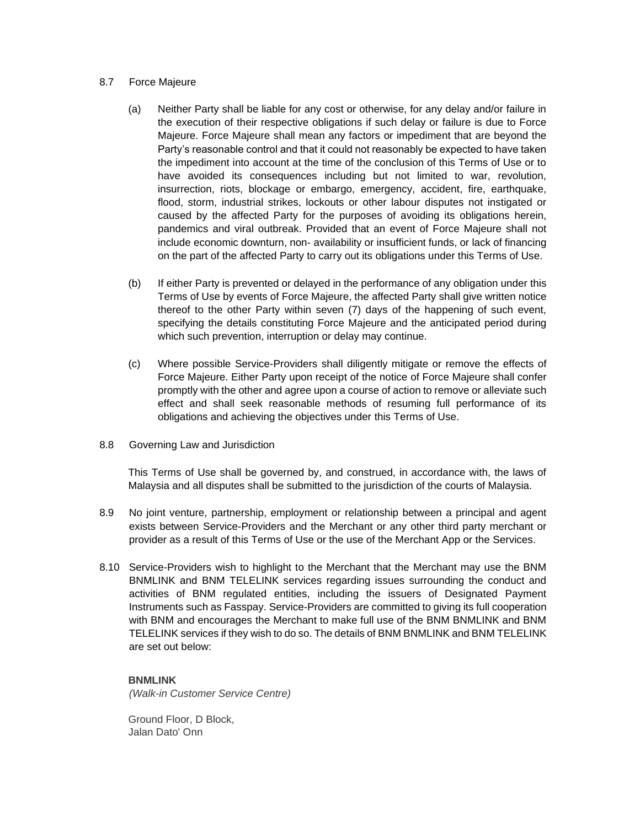#### 8.7 Force Majeure

- (a) Neither Party shall be liable for any cost or otherwise, for any delay and/or failure in the execution of their respective obligations if such delay or failure is due to Force Majeure. Force Majeure shall mean any factors or impediment that are beyond the Party's reasonable control and that it could not reasonably be expected to have taken the impediment into account at the time of the conclusion of this Terms of Use or to have avoided its consequences including but not limited to war, revolution, insurrection, riots, blockage or embargo, emergency, accident, fire, earthquake, flood, storm, industrial strikes, lockouts or other labour disputes not instigated or caused by the affected Party for the purposes of avoiding its obligations herein, pandemics and viral outbreak. Provided that an event of Force Majeure shall not include economic downturn, non- availability or insufficient funds, or lack of financing on the part of the affected Party to carry out its obligations under this Terms of Use.
- (b) If either Party is prevented or delayed in the performance of any obligation under this Terms of Use by events of Force Majeure, the affected Party shall give written notice thereof to the other Party within seven (7) days of the happening of such event, specifying the details constituting Force Majeure and the anticipated period during which such prevention, interruption or delay may continue.
- (c) Where possible Service-Providers shall diligently mitigate or remove the effects of Force Majeure. Either Party upon receipt of the notice of Force Majeure shall confer promptly with the other and agree upon a course of action to remove or alleviate such effect and shall seek reasonable methods of resuming full performance of its obligations and achieving the objectives under this Terms of Use.
- 8.8 Governing Law and Jurisdiction

This Terms of Use shall be governed by, and construed, in accordance with, the laws of Malaysia and all disputes shall be submitted to the jurisdiction of the courts of Malaysia.

- 8.9 No joint venture, partnership, employment or relationship between a principal and agent exists between Service-Providers and the Merchant or any other third party merchant or provider as a result of this Terms of Use or the use of the Merchant App or the Services.
- 8.10 Service-Providers wish to highlight to the Merchant that the Merchant may use the BNM BNMLINK and BNM TELELINK services regarding issues surrounding the conduct and activities of BNM regulated entities, including the issuers of Designated Payment Instruments such as Fasspay. Service-Providers are committed to giving its full cooperation with BNM and encourages the Merchant to make full use of the BNM BNMLINK and BNM TELELINK services if they wish to do so. The details of BNM BNMLINK and BNM TELELINK are set out below:

# **BNMLINK**

*(Walk-in Customer Service Centre)* 

Ground Floor, D Block, Jalan Dato' Onn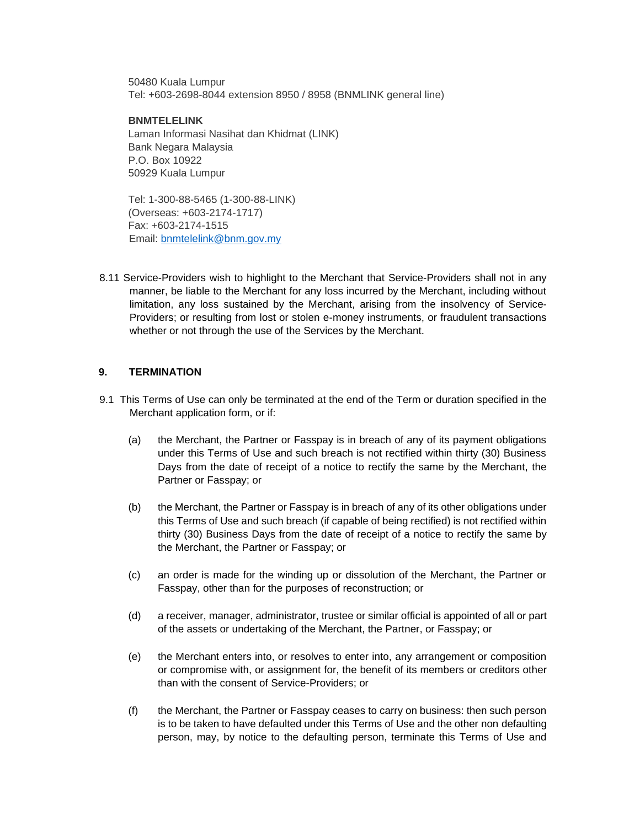50480 Kuala Lumpur Tel: +603-2698-8044 extension 8950 / 8958 (BNMLINK general line)

#### **BNMTELELINK**

Laman Informasi Nasihat dan Khidmat (LINK) Bank Negara Malaysia P.O. Box 10922 50929 Kuala Lumpur

Tel: 1-300-88-5465 (1-300-88-LINK) (Overseas: +603-2174-1717) Fax: +603-2174-1515 Email: bnmtelelink@bnm.gov.my

8.11 Service-Providers wish to highlight to the Merchant that Service-Providers shall not in any manner, be liable to the Merchant for any loss incurred by the Merchant, including without limitation, any loss sustained by the Merchant, arising from the insolvency of Service-Providers; or resulting from lost or stolen e-money instruments, or fraudulent transactions whether or not through the use of the Services by the Merchant.

### **9. TERMINATION**

- 9.1 This Terms of Use can only be terminated at the end of the Term or duration specified in the Merchant application form, or if:
	- (a) the Merchant, the Partner or Fasspay is in breach of any of its payment obligations under this Terms of Use and such breach is not rectified within thirty (30) Business Days from the date of receipt of a notice to rectify the same by the Merchant, the Partner or Fasspay; or
	- (b) the Merchant, the Partner or Fasspay is in breach of any of its other obligations under this Terms of Use and such breach (if capable of being rectified) is not rectified within thirty (30) Business Days from the date of receipt of a notice to rectify the same by the Merchant, the Partner or Fasspay; or
	- (c) an order is made for the winding up or dissolution of the Merchant, the Partner or Fasspay, other than for the purposes of reconstruction; or
	- (d) a receiver, manager, administrator, trustee or similar official is appointed of all or part of the assets or undertaking of the Merchant, the Partner, or Fasspay; or
	- (e) the Merchant enters into, or resolves to enter into, any arrangement or composition or compromise with, or assignment for, the benefit of its members or creditors other than with the consent of Service-Providers; or
	- (f) the Merchant, the Partner or Fasspay ceases to carry on business: then such person is to be taken to have defaulted under this Terms of Use and the other non defaulting person, may, by notice to the defaulting person, terminate this Terms of Use and